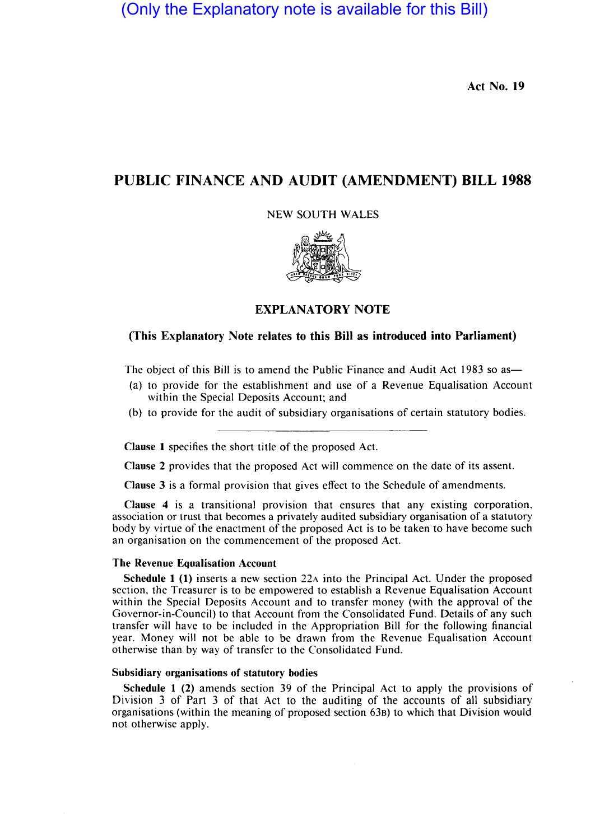(Only the Explanatory note is available for this Bill)

Act No. 19

# PUBLIC FINANCE AND AUDIT (AMENDMENT) BILL 1988

NEW SOUTH WALES



## EXPLANATORY NOTE

## (This Explanatory Note relates to this Bill as introduced into Parliament)

The object of this Bill is to amend the Public Finance and Audit Act 1983 so as—

- (a) to provide for the establishment and use of a Revenue Equalisation Account within the Special Deposits Account; and
- (b) to provide for the audit of subsidiary organisations of certain statutory bodies.

Clause 1 specifies the short title of the proposed Act.

Clause 2 provides that the proposed Act will commence on the date of its assent.

Clause 3 is a formal provision that gives effect to the Schedule of amendments.

Clause 4 is a transitional provision that ensures that any existing corporation. association or trust that becomes a privately audited subsidiary organisation of a statutory body by virtue of the enactment of the proposed Act is to be taken to have become such an organisation on the commencement of the proposed Act.

### The Revenue Equalisation Account

Schedule 1 (1) inserts a new section 22A into the Principal Act. Under the proposed section. the Treasurer is to be empowered to establish a Revenue Equalisation Account within the Special Deposits Account and to transfer money (with the approval of the Governor-in-Council) to that Account from the Consolidated Fund. Details of any such transfer will have to be included in the Appropriation Bill for the following financial year. Money will not be able to be drawn from the Revenue Equalisation Account otherwise than by way of transfer to the Consolidated Fund.

### Subsidiary organisations of statutory bodies

Schedule 1 (2) amends section 39 of the Principal Act to apply the provisions of Division 3 of Part 3 of that Act to the auditing of the accounts of all subsidiary organisations (within the meaning of proposed section 638) to which that Division would not otherwise apply.